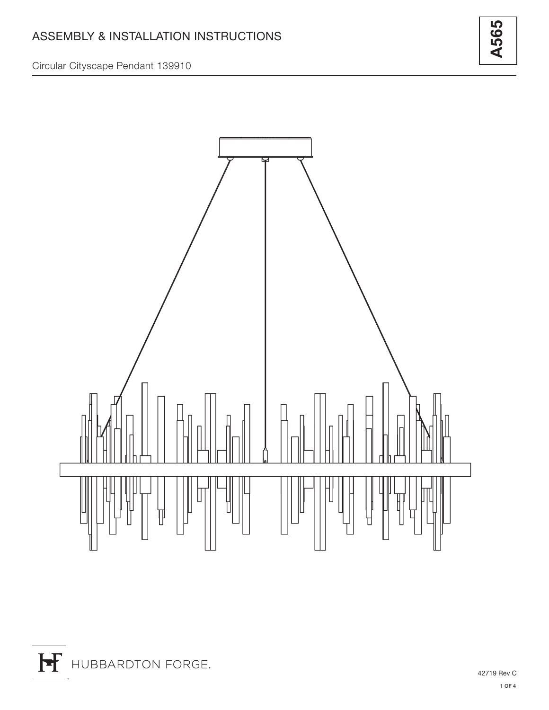**A565**

Circular Cityscape Pendant 139910

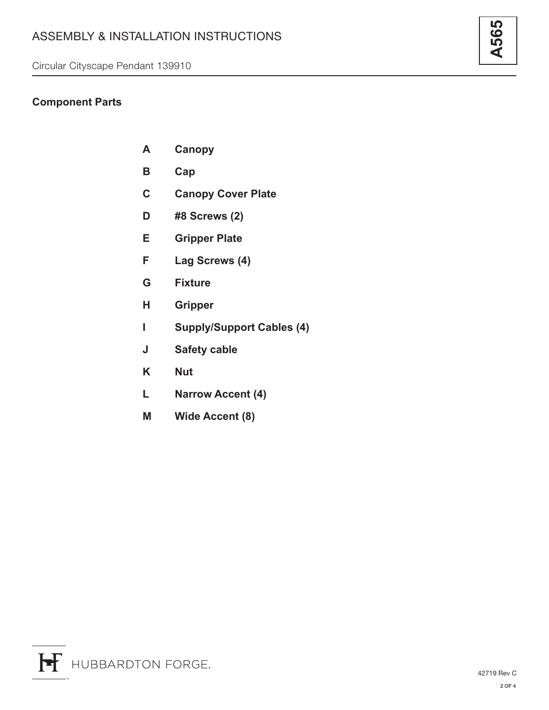## **Component Parts**

- **A Canopy**
- **B Cap**
- **C Canopy Cover Plate**
- **D #8 Screws (2)**
- **E Gripper Plate**
- **F Lag Screws (4)**
- **G Fixture**
- **H Gripper**
- **I Supply/Support Cables (4)**
- **J Safety cable**
- **K Nut**
- **L Narrow Accent (4)**
- **M Wide Accent (8)**

**A565**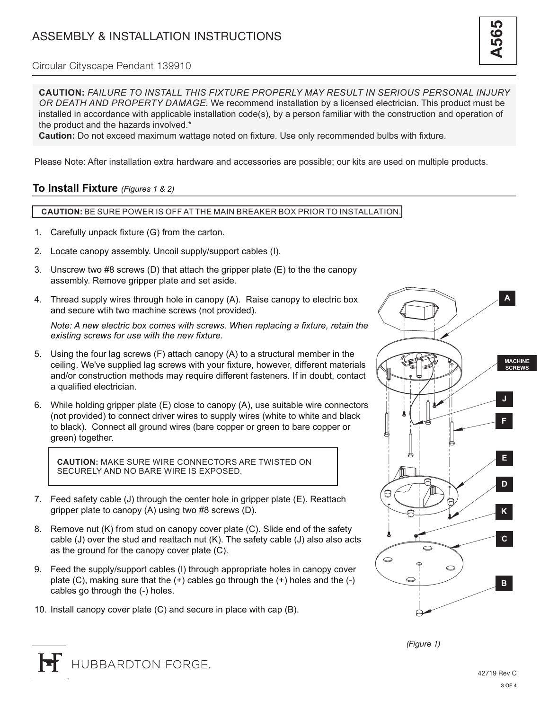**CAUTION:** *FAILURE TO INSTALL THIS FIXTURE PROPERLY MAY RESULT IN SERIOUS PERSONAL INJURY OR DEATH AND PROPERTY DAMAGE.* We recommend installation by a licensed electrician. This product must be installed in accordance with applicable installation code(s), by a person familiar with the construction and operation of the product and the hazards involved.\*

**Caution:** Do not exceed maximum wattage noted on fixture. Use only recommended bulbs with fixture.

Please Note: After installation extra hardware and accessories are possible; our kits are used on multiple products.

## **To Install Fixture** *(Figures 1 & 2)*

## **CAUTION:** BE SURE POWER IS OFF AT THE MAIN BREAKER BOX PRIOR TO INSTALLATION.

- 1. Carefully unpack fixture (G) from the carton.
- 2. Locate canopy assembly. Uncoil supply/support cables (I).
- 3. Unscrew two #8 screws (D) that attach the gripper plate (E) to the the canopy assembly. Remove gripper plate and set aside.
- 4. Thread supply wires through hole in canopy (A). Raise canopy to electric box and secure wtih two machine screws (not provided).

*Note: A new electric box comes with screws. When replacing a fixture, retain the existing screws for use with the new fixture.*

- 5. Using the four lag screws (F) attach canopy (A) to a structural member in the ceiling. We've supplied lag screws with your fixture, however, different materials and/or construction methods may require different fasteners. If in doubt, contact a qualified electrician.
- 6. While holding gripper plate (E) close to canopy (A), use suitable wire connectors (not provided) to connect driver wires to supply wires (white to white and black to black). Connect all ground wires (bare copper or green to bare copper or green) together.

**CAUTION:** MAKE SURE WIRE CONNECTORS ARE TWISTED ON SECURELY AND NO BARE WIRE IS EXPOSED.

- 7. Feed safety cable (J) through the center hole in gripper plate (E). Reattach gripper plate to canopy (A) using two #8 screws (D).
- 8. Remove nut (K) from stud on canopy cover plate (C). Slide end of the safety cable (J) over the stud and reattach nut (K). The safety cable (J) also also acts as the ground for the canopy cover plate (C).
- 9. Feed the supply/support cables (I) through appropriate holes in canopy cover plate  $(C)$ , making sure that the  $(+)$  cables go through the  $(+)$  holes and the  $(-)$ cables go through the (-) holes.
- 10. Install canopy cover plate (C) and secure in place with cap (B).



*(Figure 1)*

**A565**